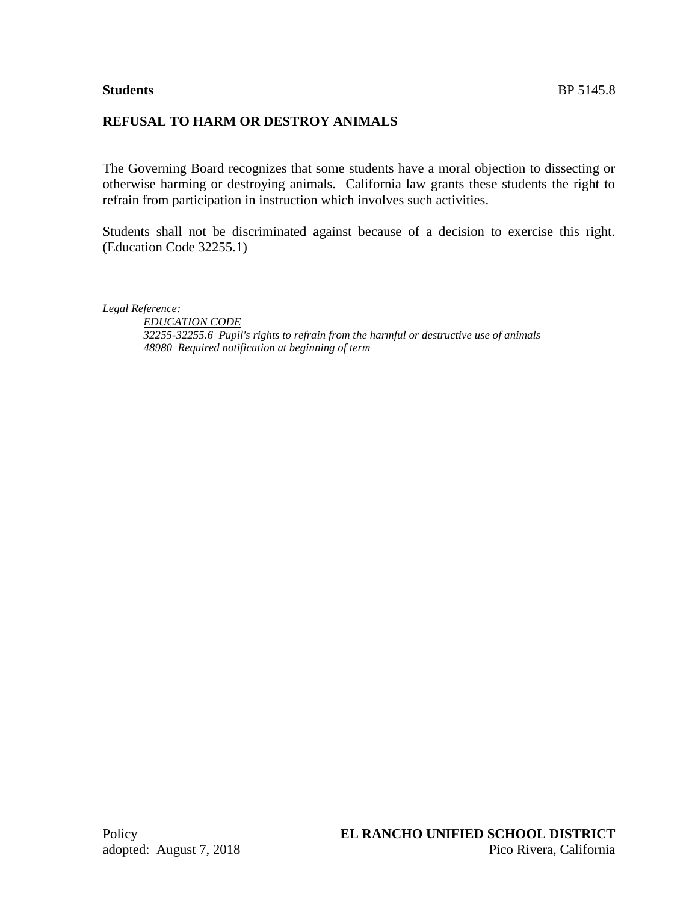# **REFUSAL TO HARM OR DESTROY ANIMALS**

The Governing Board recognizes that some students have a moral objection to dissecting or otherwise harming or destroying animals. California law grants these students the right to refrain from participation in instruction which involves such activities.

Students shall not be discriminated against because of a decision to exercise this right. (Education Code 32255.1)

*Legal Reference:*

*EDUCATION CODE 32255-32255.6 Pupil's rights to refrain from the harmful or destructive use of animals 48980 Required notification at beginning of term*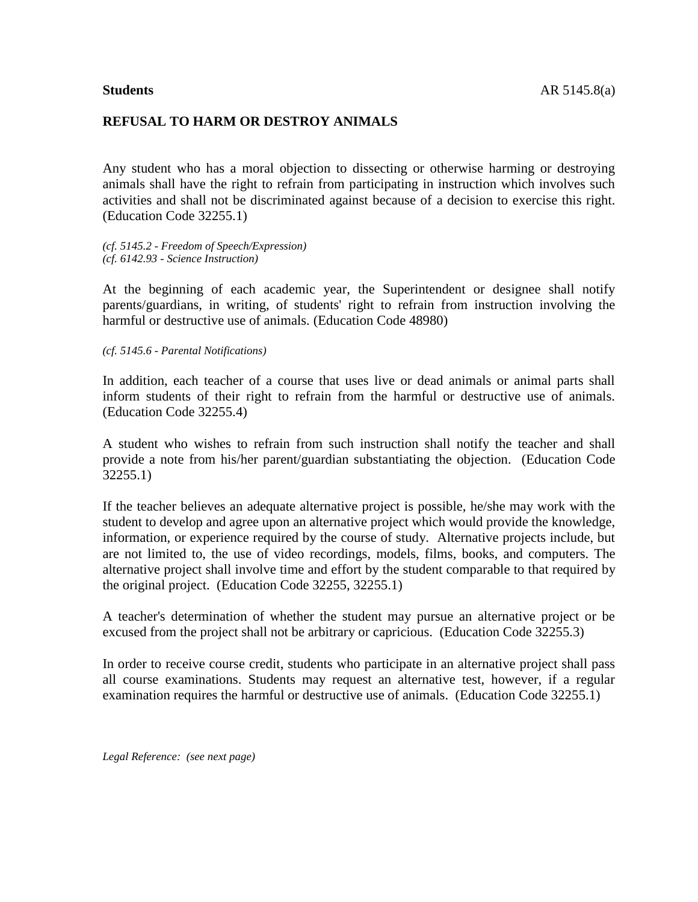### **REFUSAL TO HARM OR DESTROY ANIMALS**

Any student who has a moral objection to dissecting or otherwise harming or destroying animals shall have the right to refrain from participating in instruction which involves such activities and shall not be discriminated against because of a decision to exercise this right. (Education Code 32255.1)

*(cf. 5145.2 - Freedom of Speech/Expression) (cf. 6142.93 - Science Instruction)*

At the beginning of each academic year, the Superintendent or designee shall notify parents/guardians, in writing, of students' right to refrain from instruction involving the harmful or destructive use of animals. (Education Code 48980)

*(cf. 5145.6 - Parental Notifications)*

In addition, each teacher of a course that uses live or dead animals or animal parts shall inform students of their right to refrain from the harmful or destructive use of animals. (Education Code 32255.4)

A student who wishes to refrain from such instruction shall notify the teacher and shall provide a note from his/her parent/guardian substantiating the objection. (Education Code 32255.1)

If the teacher believes an adequate alternative project is possible, he/she may work with the student to develop and agree upon an alternative project which would provide the knowledge, information, or experience required by the course of study. Alternative projects include, but are not limited to, the use of video recordings, models, films, books, and computers. The alternative project shall involve time and effort by the student comparable to that required by the original project. (Education Code 32255, 32255.1)

A teacher's determination of whether the student may pursue an alternative project or be excused from the project shall not be arbitrary or capricious. (Education Code 32255.3)

In order to receive course credit, students who participate in an alternative project shall pass all course examinations. Students may request an alternative test, however, if a regular examination requires the harmful or destructive use of animals. (Education Code 32255.1)

*Legal Reference: (see next page)*